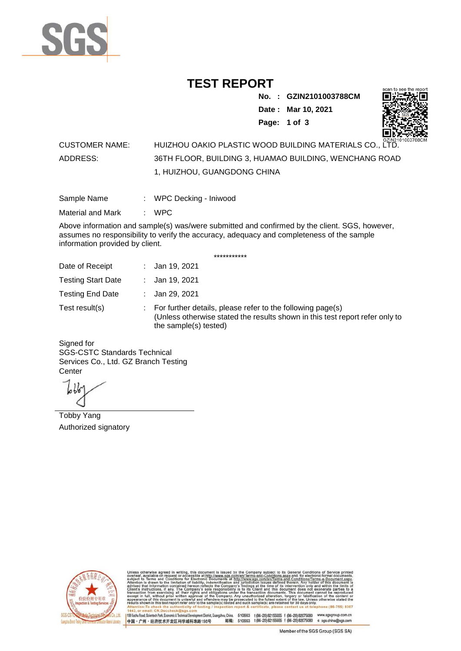

## **TEST REPORT**

**No. : GZIN2101003788CM Date : Mar 10, 2021 Page: 1 of 3** 



## CUSTOMER NAME: HUIZHOU OAKIO PLASTIC WOOD BUILDING MATERIALS CO., LTD. ADDRESS: 36TH FLOOR, BUILDING 3, HUAMAO BUILDING, WENCHANG ROAD 1, HUIZHOU, GUANGDONG CHINA

| Sample Name | WPC Decking - Iniwood |  |
|-------------|-----------------------|--|
|             |                       |  |

Material and Mark : WPC

Above information and sample(s) was/were submitted and confirmed by the client. SGS, however, assumes no responsibility to verify the accuracy, adequacy and completeness of the sample information provided by client.

\*\*\*\*\*\*\*\*\*\*\*

| Date of Receipt           | : Jan 19, 2021                                                                                                                                                        |
|---------------------------|-----------------------------------------------------------------------------------------------------------------------------------------------------------------------|
| <b>Testing Start Date</b> | : Jan 19, 2021                                                                                                                                                        |
| <b>Testing End Date</b>   | : Jan 29, 2021                                                                                                                                                        |
| Test result(s)            | : For further details, please refer to the following page(s)<br>(Unless otherwise stated the results shown in this test report refer only to<br>the sample(s) tested) |

Signed for SGS-CSTC Standards Technical Services Co., Ltd. GZ Branch Testing **Center** 

Tobby Yang Authorized signatory



510663 t(86-20) 82155555 f (86-20) 82075080 www.sgsgroup.com.cn<br>510663 t(86-20) 82155555 f (86-20) 82075080 e sgs.china@sgs.com 198 Kezhu Road, Scientech Park, Economic & Technical Devel gzhou, China. ant District G 邮编: 中国·广州·经济技术开发区科学城科珠路198号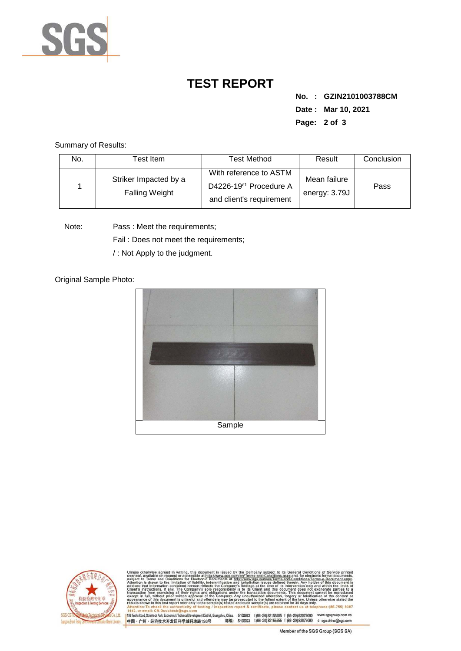

## **TEST REPORT**

**No. : GZIN2101003788CM Date : Mar 10, 2021 Page: 2 of 3** 

Summary of Results:

| No. | Test Item                                      | Test Method                                                                              | Result                        | Conclusion |
|-----|------------------------------------------------|------------------------------------------------------------------------------------------|-------------------------------|------------|
|     | Striker Impacted by a<br><b>Falling Weight</b> | With reference to ASTM<br>D4226-19 <sup>ε1</sup> Procedure A<br>and client's requirement | Mean failure<br>energy: 3.79J | Pass       |

Note: Pass : Meet the requirements;

Fail : Does not meet the requirements;

/ : Not Apply to the judgment.

Original Sample Photo:





Conditions/Terms-e-Do<br>rein. Any holder of this 8307 198 Kezhu Road, Scientech Park, Economic & Technical Develop 中国·广州·经济技术开发区科学城科珠路198号